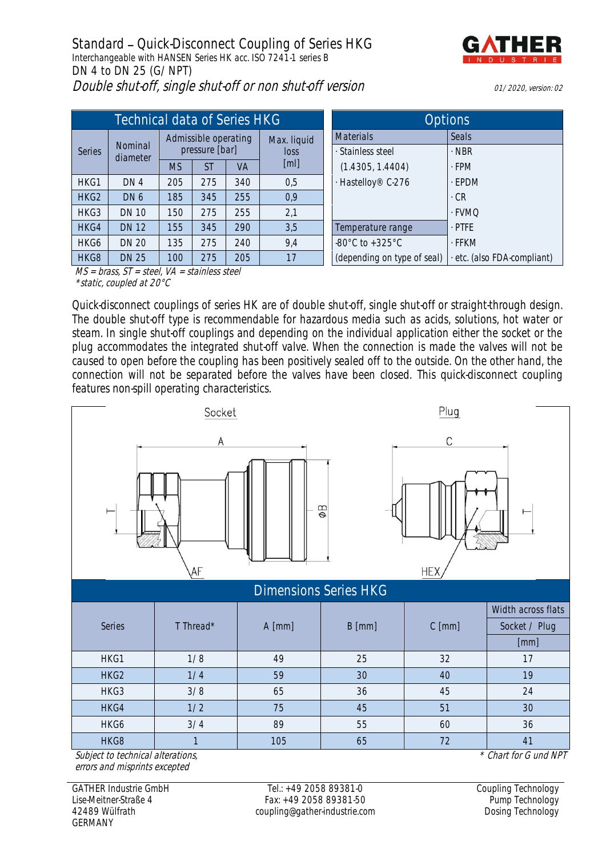**Standard - Quick-Disconnect Coupling of Series HKG** Interchangeable with HANSEN Series HK acc. ISO 7241-1 series B **DN 4 to DN 25 (G/NPT)** Double shut-off, single shut-off or non shut-off version 01/2020, version: 02



| Technical data of Series HKG                                                                              |                     |                                        |           |     |                     | <b>Options</b>                      |                           |
|-----------------------------------------------------------------------------------------------------------|---------------------|----------------------------------------|-----------|-----|---------------------|-------------------------------------|---------------------------|
| Series                                                                                                    | Nominal<br>diameter | Admissible operating<br>pressure [bar] |           |     | Max. liquid<br>loss | <b>Materials</b>                    | Seals                     |
|                                                                                                           |                     |                                        |           |     |                     | · Stainless steel                   | $\cdot$ NBR               |
|                                                                                                           |                     | <b>MS</b>                              | <b>ST</b> | VA  | [ml]                | (1.4305, 1.4404)                    | $-FPM$                    |
| HKG1                                                                                                      | DN <sub>4</sub>     | 205                                    | 275       | 340 | 0,5                 | - Hastelloy® C-276                  | · EPDM                    |
| HKG2                                                                                                      | DN6                 | 185                                    | 345       | 255 | 0,9                 |                                     | $\cdot$ CR                |
| HKG3                                                                                                      | <b>DN 10</b>        | 150                                    | 275       | 255 | 2,1                 |                                     | · FVMQ                    |
| HKG4                                                                                                      | <b>DN 12</b>        | 155                                    | 345       | 290 | 3,5                 | Temperature range                   | $·$ PTFE                  |
| HKG6                                                                                                      | <b>DN 20</b>        | 135                                    | 275       | 240 | 9,4                 | $-80^{\circ}$ C to $+325^{\circ}$ C | · FFKM                    |
| HKG8                                                                                                      | <b>DN 25</b>        | 100                                    | 275       | 205 | 17                  | (depending on type of seal)         | etc. (also FDA-compliant) |
| $\Lambda$ $\Lambda$ C<br>$h_{r\alpha\alpha\alpha}$ $CT$ $\alpha t\alpha\alpha l$ $1/l$<br>ctoinless stool |                     |                                        |           |     |                     |                                     |                           |

| Options                             |                           |  |  |  |  |
|-------------------------------------|---------------------------|--|--|--|--|
| <b>Materials</b>                    | Seals                     |  |  |  |  |
| · Stainless steel                   | · NBR                     |  |  |  |  |
| (1.4305, 1.4404)                    | $-FPM$                    |  |  |  |  |
| - Hastelloy® C-276                  | $-FPDM$                   |  |  |  |  |
|                                     | . CR                      |  |  |  |  |
|                                     | - FVMO                    |  |  |  |  |
| Temperature range                   | $.$ PTFF                  |  |  |  |  |
| $-80^{\circ}$ C to $+325^{\circ}$ C | . FFKM                    |  |  |  |  |
| (depending on type of seal)         | etc. (also FDA-compliant) |  |  |  |  |

 $MS = brass, ST = steel, VA = stainless steel$ \*static, coupled at 20°C

Quick-disconnect couplings of series HK are of double shut-off, single shut-off or straight-through design. The double shut-off type is recommendable for hazardous media such as acids, solutions, hot water or steam. In single shut-off couplings and depending on the individual application either the socket or the plug accommodates the integrated shut-off valve. When the connection is made the valves will not be caused to open before the coupling has been positively sealed off to the outside. On the other hand, the connection will not be separated before the valves have been closed. This quick-disconnect coupling features non-spill operating characteristics.



HKG8 | 1 | 105 | 65 | 72 | 41 Subject to technical alterations, errors and misprints excepted

GATHER Industrie GmbH Lise-Meitner-Straße 4 42489 Wülfrath GERMANY

Tel.: +49 2058 89381-0 Fax: +49 2058 89381-50 coupling@gather-industrie.com

HKG6 | 3/4 | 89 | 55 | 60 | 36

\* Chart for G und NPT

Coupling Technology Pump Technology Dosing Technology